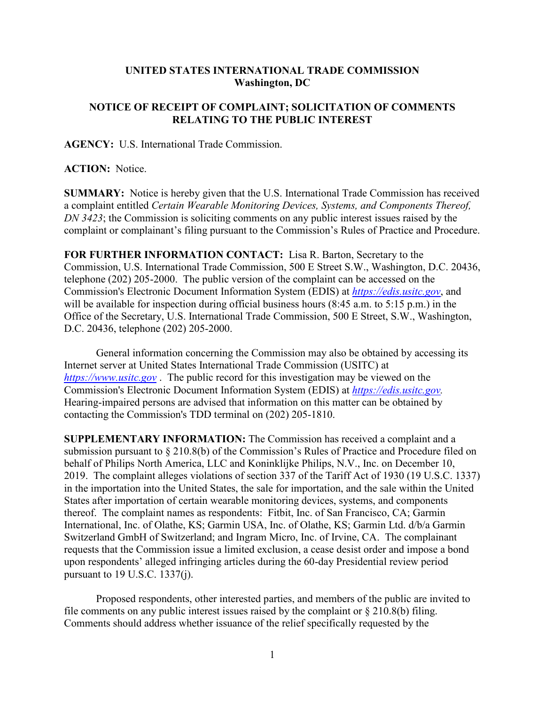## **UNITED STATES INTERNATIONAL TRADE COMMISSION Washington, DC**

## **NOTICE OF RECEIPT OF COMPLAINT; SOLICITATION OF COMMENTS RELATING TO THE PUBLIC INTEREST**

**AGENCY:** U.S. International Trade Commission.

**ACTION:** Notice.

**SUMMARY:** Notice is hereby given that the U.S. International Trade Commission has received a complaint entitled *Certain Wearable Monitoring Devices, Systems, and Components Thereof, DN 3423*; the Commission is soliciting comments on any public interest issues raised by the complaint or complainant's filing pursuant to the Commission's Rules of Practice and Procedure.

**FOR FURTHER INFORMATION CONTACT:** Lisa R. Barton, Secretary to the Commission, U.S. International Trade Commission, 500 E Street S.W., Washington, D.C. 20436, telephone (202) 205-2000. The public version of the complaint can be accessed on the Commission's Electronic Document Information System (EDIS) at *[https://edis.usitc.gov](https://edis.usitc.gov/)*, and will be available for inspection during official business hours (8:45 a.m. to 5:15 p.m.) in the Office of the Secretary, U.S. International Trade Commission, 500 E Street, S.W., Washington, D.C. 20436, telephone (202) 205-2000.

General information concerning the Commission may also be obtained by accessing its Internet server at United States International Trade Commission (USITC) at *[https://www.usitc.gov](https://www.usitc.gov/)* . The public record for this investigation may be viewed on the Commission's Electronic Document Information System (EDIS) at *[https://edis.usitc.gov.](https://edis.usitc.gov/)* Hearing-impaired persons are advised that information on this matter can be obtained by contacting the Commission's TDD terminal on (202) 205-1810.

**SUPPLEMENTARY INFORMATION:** The Commission has received a complaint and a submission pursuant to § 210.8(b) of the Commission's Rules of Practice and Procedure filed on behalf of Philips North America, LLC and Koninklijke Philips, N.V., Inc. on December 10, 2019. The complaint alleges violations of section 337 of the Tariff Act of 1930 (19 U.S.C. 1337) in the importation into the United States, the sale for importation, and the sale within the United States after importation of certain wearable monitoring devices, systems, and components thereof. The complaint names as respondents: Fitbit, Inc. of San Francisco, CA; Garmin International, Inc. of Olathe, KS; Garmin USA, Inc. of Olathe, KS; Garmin Ltd. d/b/a Garmin Switzerland GmbH of Switzerland; and Ingram Micro, Inc. of Irvine, CA. The complainant requests that the Commission issue a limited exclusion, a cease desist order and impose a bond upon respondents' alleged infringing articles during the 60-day Presidential review period pursuant to 19 U.S.C. 1337(j).

Proposed respondents, other interested parties, and members of the public are invited to file comments on any public interest issues raised by the complaint or  $\S 210.8(b)$  filing. Comments should address whether issuance of the relief specifically requested by the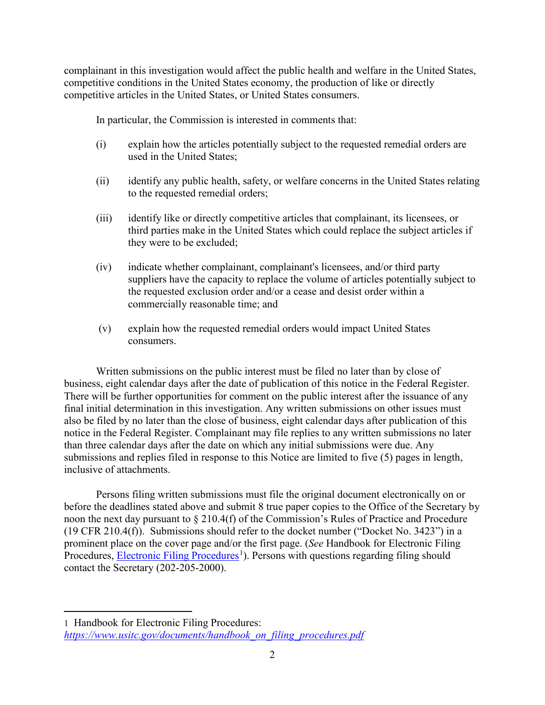complainant in this investigation would affect the public health and welfare in the United States, competitive conditions in the United States economy, the production of like or directly competitive articles in the United States, or United States consumers.

In particular, the Commission is interested in comments that:

- (i) explain how the articles potentially subject to the requested remedial orders are used in the United States;
- (ii) identify any public health, safety, or welfare concerns in the United States relating to the requested remedial orders;
- (iii) identify like or directly competitive articles that complainant, its licensees, or third parties make in the United States which could replace the subject articles if they were to be excluded;
- (iv) indicate whether complainant, complainant's licensees, and/or third party suppliers have the capacity to replace the volume of articles potentially subject to the requested exclusion order and/or a cease and desist order within a commercially reasonable time; and
- (v) explain how the requested remedial orders would impact United States consumers.

Written submissions on the public interest must be filed no later than by close of business, eight calendar days after the date of publication of this notice in the Federal Register. There will be further opportunities for comment on the public interest after the issuance of any final initial determination in this investigation. Any written submissions on other issues must also be filed by no later than the close of business, eight calendar days after publication of this notice in the Federal Register. Complainant may file replies to any written submissions no later than three calendar days after the date on which any initial submissions were due. Any submissions and replies filed in response to this Notice are limited to five (5) pages in length, inclusive of attachments.

Persons filing written submissions must file the original document electronically on or before the deadlines stated above and submit 8 true paper copies to the Office of the Secretary by noon the next day pursuant to § 210.4(f) of the Commission's Rules of Practice and Procedure (19 CFR 210.4(f)). Submissions should refer to the docket number ("Docket No. 3423") in a prominent place on the cover page and/or the first page. (*See* Handbook for Electronic Filing Procedures, **Electronic Filing Procedures**<sup>[1](#page-1-0)</sup>). Persons with questions regarding filing should contact the Secretary (202-205-2000).

 $\overline{a}$ 

<span id="page-1-0"></span><sup>1</sup> Handbook for Electronic Filing Procedures: *[https://www.usitc.gov/documents/handbook\\_on\\_filing\\_procedures.pdf](https://www.usitc.gov/documents/handbook_on_filing_procedures.pdf)*